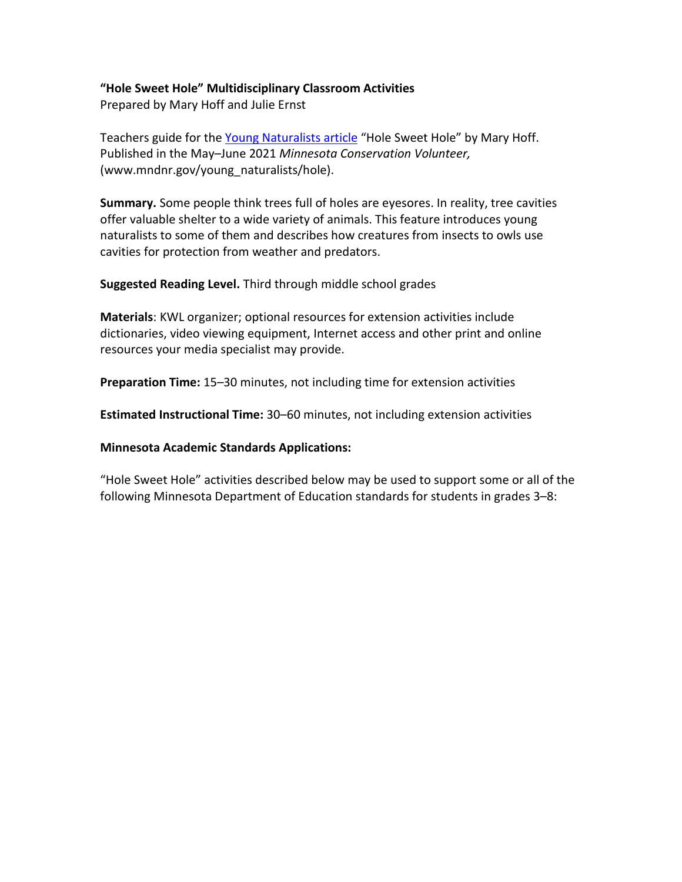# **"Hole Sweet Hole" Multidisciplinary Classroom Activities**

Prepared by Mary Hoff and Julie Ernst

Teachers guide for the [Young Naturalists article](http://www.mndnr.gov/young_naturalists/hole) "Hole Sweet Hole" by Mary Hoff. Published in the May–June 2021 *Minnesota Conservation Volunteer,* (www.mndnr.gov/young\_naturalists/hole).

**Summary.** Some people think trees full of holes are eyesores. In reality, tree cavities offer valuable shelter to a wide variety of animals. This feature introduces young naturalists to some of them and describes how creatures from insects to owls use cavities for protection from weather and predators.

**Suggested Reading Level.** Third through middle school grades

**Materials**: KWL organizer; optional resources for extension activities include dictionaries, video viewing equipment, Internet access and other print and online resources your media specialist may provide.

**Preparation Time:** 15–30 minutes, not including time for extension activities

**Estimated Instructional Time:** 30–60 minutes, not including extension activities

# **Minnesota Academic Standards Applications:**

"Hole Sweet Hole" activities described below may be used to support some or all of the following Minnesota Department of Education standards for students in grades 3–8: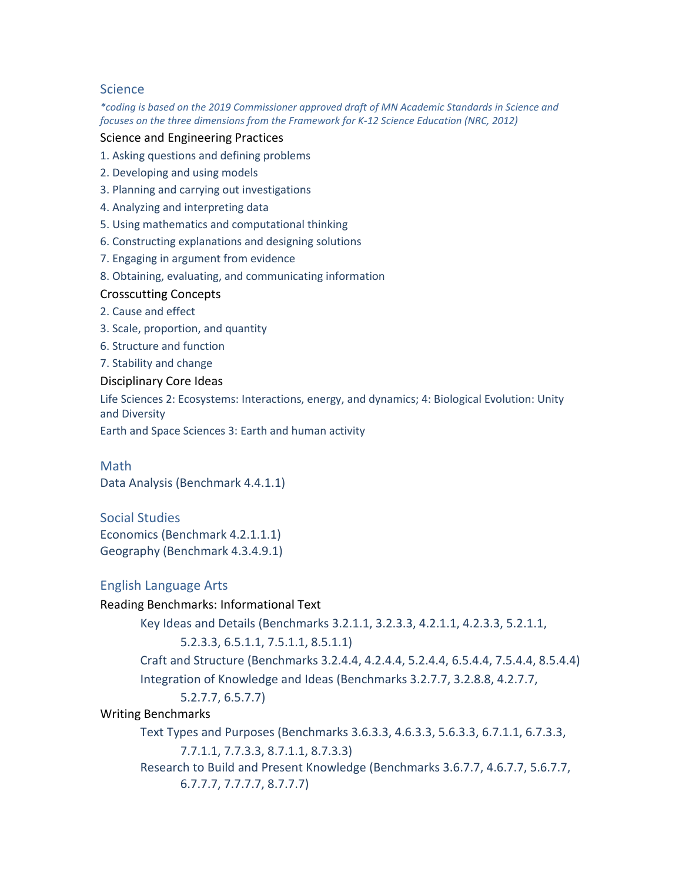# Science

*\*coding is based on the 2019 Commissioner approved draft of MN Academic Standards in Science and focuses on the three dimensions from the Framework for K-12 Science Education (NRC, 2012)*

#### Science and Engineering Practices

1. Asking questions and defining problems

- 2. Developing and using models
- 3. Planning and carrying out investigations
- 4. Analyzing and interpreting data
- 5. Using mathematics and computational thinking
- 6. Constructing explanations and designing solutions
- 7. Engaging in argument from evidence
- 8. Obtaining, evaluating, and communicating information

## Crosscutting Concepts

- 2. Cause and effect
- 3. Scale, proportion, and quantity
- 6. Structure and function
- 7. Stability and change

#### Disciplinary Core Ideas

Life Sciences 2: Ecosystems: Interactions, energy, and dynamics; 4: Biological Evolution: Unity and Diversity

Earth and Space Sciences 3: Earth and human activity

Math Data Analysis (Benchmark 4.4.1.1)

Social Studies Economics (Benchmark 4.2.1.1.1) Geography (Benchmark 4.3.4.9.1)

## English Language Arts

Reading Benchmarks: Informational Text Key Ideas and Details (Benchmarks 3.2.1.1, 3.2.3.3, 4.2.1.1, 4.2.3.3, 5.2.1.1, 5.2.3.3, 6.5.1.1, 7.5.1.1, 8.5.1.1) Craft and Structure (Benchmarks 3.2.4.4, 4.2.4.4, 5.2.4.4, 6.5.4.4, 7.5.4.4, 8.5.4.4) Integration of Knowledge and Ideas (Benchmarks 3.2.7.7, 3.2.8.8, 4.2.7.7, 5.2.7.7, 6.5.7.7) Writing Benchmarks Text Types and Purposes (Benchmarks 3.6.3.3, 4.6.3.3, 5.6.3.3, 6.7.1.1, 6.7.3.3, 7.7.1.1, 7.7.3.3, 8.7.1.1, 8.7.3.3) Research to Build and Present Knowledge (Benchmarks 3.6.7.7, 4.6.7.7, 5.6.7.7, 6.7.7.7, 7.7.7.7, 8.7.7.7)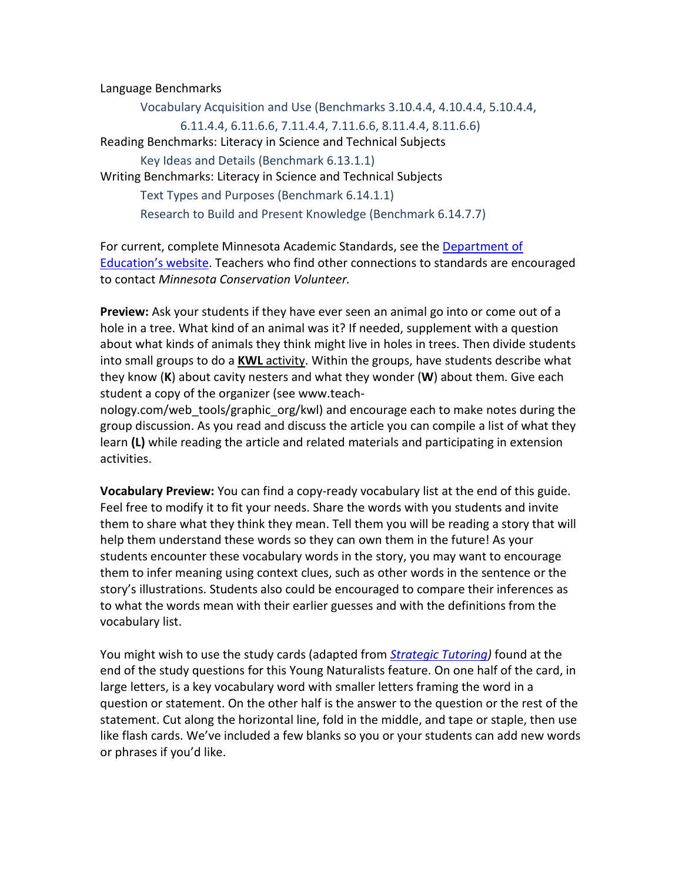Language Benchmarks

Vocabulary Acquisition and Use (Benchmarks 3.10.4.4, 4.10.4.4, 5.10.4.4, 6.11.4.4, 6.11.6.6, 7.11.4.4, 7.11.6.6, 8.11.4.4, 8.11.6.6) Reading Benchmarks: Literacy in Science and Technical Subjects Key Ideas and Details (Benchmark 6.13.1.1) Writing Benchmarks: Literacy in Science and Technical Subjects Text Types and Purposes (Benchmark 6.14.1.1) Research to Build and Present Knowledge (Benchmark 6.14.7.7)

For current, complete Minnesota Academic Standards, see the [Department of](http://www.education.state.mn.us/)  [Education's website.](http://www.education.state.mn.us/) Teachers who find other connections to standards are encouraged to contact *Minnesota Conservation Volunteer.*

**Preview:** Ask your students if they have ever seen an animal go into or come out of a hole in a tree. What kind of an animal was it? If needed, supplement with a question about what kinds of animals they think might live in holes in trees. Then divide students into small groups to do a **KWL** [activity.](http://www.nea.org/tools/k-w-l-know-want-to-know-learned.html) Within the groups, have students describe what they know (**K**) about cavity nesters and what they wonder (**W**) about them. Give each student a copy of the organizer (see www.teach-

nology.com/web\_tools/graphic\_org/kwl) and encourage each to make notes during the group discussion. As you read and discuss the article you can compile a list of what they learn **(L)** while reading the article and related materials and participating in extension activities.

**Vocabulary Preview:** You can find a copy-ready vocabulary list at the end of this guide. Feel free to modify it to fit your needs. Share the words with you students and invite them to share what they think they mean. Tell them you will be reading a story that will help them understand these words so they can own them in the future! As your students encounter these vocabulary words in the story, you may want to encourage them to infer meaning using context clues, such as other words in the sentence or the story's illustrations. Students also could be encouraged to compare their inferences as to what the words mean with their earlier guesses and with the definitions from the vocabulary list.

You might wish to use the study cards (adapted from *[Strategic Tutoring\)](http://sim.kucrl.org/products/details/strategic-tutoring)* found at the end of the study questions for this Young Naturalists feature. On one half of the card, in large letters, is a key vocabulary word with smaller letters framing the word in a question or statement. On the other half is the answer to the question or the rest of the statement. Cut along the horizontal line, fold in the middle, and tape or staple, then use like flash cards. We've included a few blanks so you or your students can add new words or phrases if you'd like.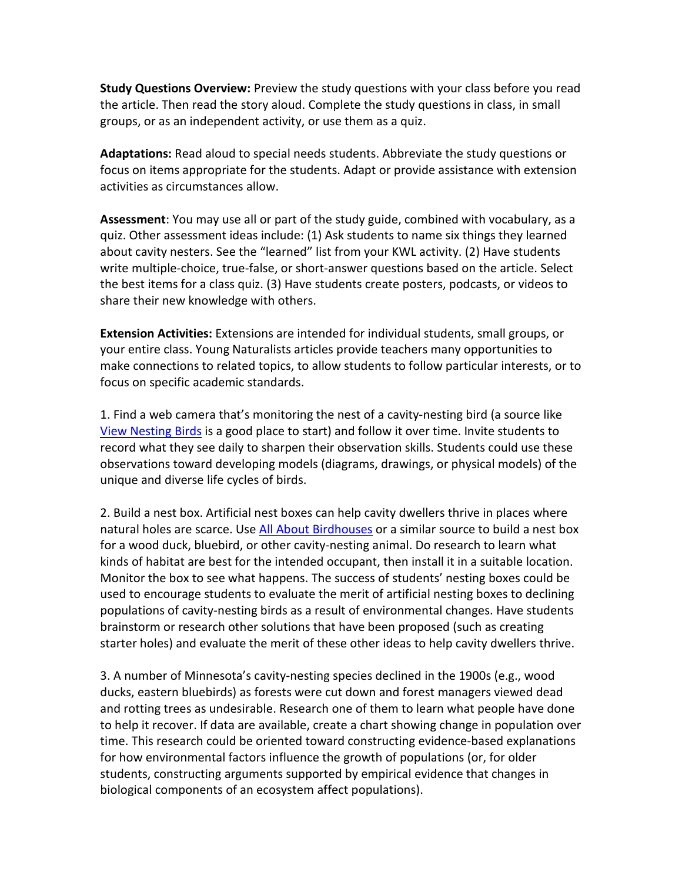**Study Questions Overview:** Preview the study questions with your class before you read the article. Then read the story aloud. Complete the study questions in class, in small groups, or as an independent activity, or use them as a quiz.

**Adaptations:** Read aloud to special needs students. Abbreviate the study questions or focus on items appropriate for the students. Adapt or provide assistance with extension activities as circumstances allow.

**Assessment**: You may use all or part of the study guide, combined with vocabulary, as a quiz. Other assessment ideas include: (1) Ask students to name six things they learned about cavity nesters. See the "learned" list from your KWL activity. (2) Have students write multiple-choice, true-false, or short-answer questions based on the article. Select the best items for a class quiz. (3) Have students create posters, podcasts, or videos to share their new knowledge with others.

**Extension Activities:** Extensions are intended for individual students, small groups, or your entire class. Young Naturalists articles provide teachers many opportunities to make connections to related topics, to allow students to follow particular interests, or to focus on specific academic standards.

1. Find a web camera that's monitoring the nest of a cavity-nesting bird (a source like [View Nesting Birds](https://www.viewbirds.com/) is a good place to start) and follow it over time. Invite students to record what they see daily to sharpen their observation skills. Students could use these observations toward developing models (diagrams, drawings, or physical models) of the unique and diverse life cycles of birds.

2. Build a nest box. Artificial nest boxes can help cavity dwellers thrive in places where natural holes are scarce. Us[e All About Birdhouses](https://nestwatch.org/learn/all-about-birdhouses/right-bird-right-house/) or a similar source to build a nest box for a wood duck, bluebird, or other cavity-nesting animal. Do research to learn what kinds of habitat are best for the intended occupant, then install it in a suitable location. Monitor the box to see what happens. The success of students' nesting boxes could be used to encourage students to evaluate the merit of artificial nesting boxes to declining populations of cavity-nesting birds as a result of environmental changes. Have students brainstorm or research other solutions that have been proposed (such as creating starter holes) and evaluate the merit of these other ideas to help cavity dwellers thrive.

3. A number of Minnesota's cavity-nesting species declined in the 1900s (e.g., wood ducks, eastern bluebirds) as forests were cut down and forest managers viewed dead and rotting trees as undesirable. Research one of them to learn what people have done to help it recover. If data are available, create a chart showing change in population over time. This research could be oriented toward constructing evidence-based explanations for how environmental factors influence the growth of populations (or, for older students, constructing arguments supported by empirical evidence that changes in biological components of an ecosystem affect populations).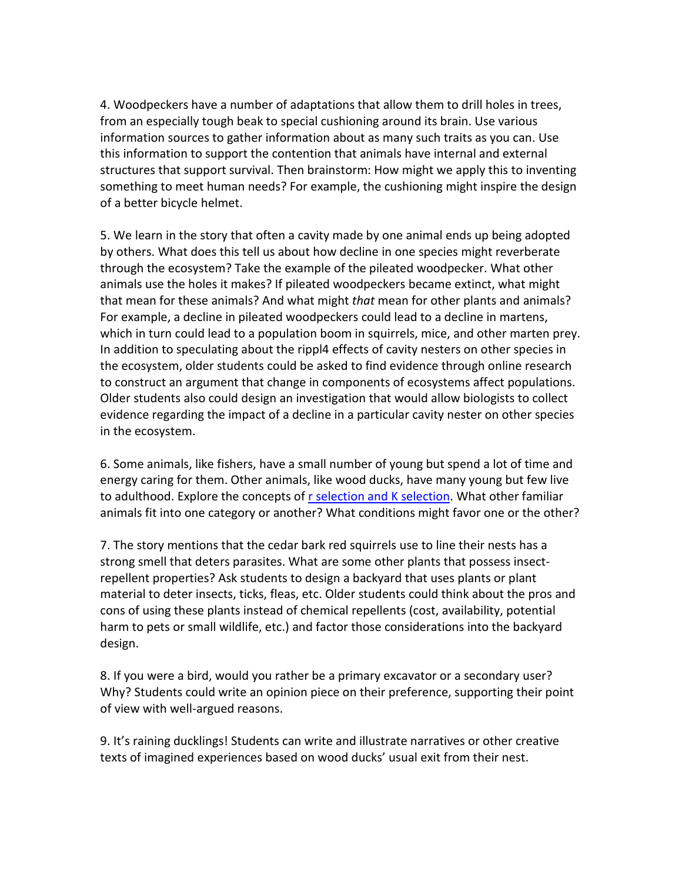4. Woodpeckers have a number of adaptations that allow them to drill holes in trees, from an especially tough beak to special cushioning around its brain. Use various information sources to gather information about as many such traits as you can. Use this information to support the contention that animals have internal and external structures that support survival. Then brainstorm: How might we apply this to inventing something to meet human needs? For example, the cushioning might inspire the design of a better bicycle helmet.

5. We learn in the story that often a cavity made by one animal ends up being adopted by others. What does this tell us about how decline in one species might reverberate through the ecosystem? Take the example of the pileated woodpecker. What other animals use the holes it makes? If pileated woodpeckers became extinct, what might that mean for these animals? And what might *that* mean for other plants and animals? For example, a decline in pileated woodpeckers could lead to a decline in martens, which in turn could lead to a population boom in squirrels, mice, and other marten prey. In addition to speculating about the rippl4 effects of cavity nesters on other species in the ecosystem, older students could be asked to find evidence through online research to construct an argument that change in components of ecosystems affect populations. Older students also could design an investigation that would allow biologists to collect evidence regarding the impact of a decline in a particular cavity nester on other species in the ecosystem.

6. Some animals, like fishers, have a small number of young but spend a lot of time and energy caring for them. Other animals, like wood ducks, have many young but few live to adulthood. Explore the concepts of r [selection and K selection.](https://youtu.be/Bu6ouKt9zhs) What other familiar animals fit into one category or another? What conditions might favor one or the other?

7. The story mentions that the cedar bark red squirrels use to line their nests has a strong smell that deters parasites. What are some other plants that possess insectrepellent properties? Ask students to design a backyard that uses plants or plant material to deter insects, ticks, fleas, etc. Older students could think about the pros and cons of using these plants instead of chemical repellents (cost, availability, potential harm to pets or small wildlife, etc.) and factor those considerations into the backyard design.

8. If you were a bird, would you rather be a primary excavator or a secondary user? Why? Students could write an opinion piece on their preference, supporting their point of view with well-argued reasons.

9. It's raining ducklings! Students can write and illustrate narratives or other creative texts of imagined experiences based on wood ducks' usual exit from their nest.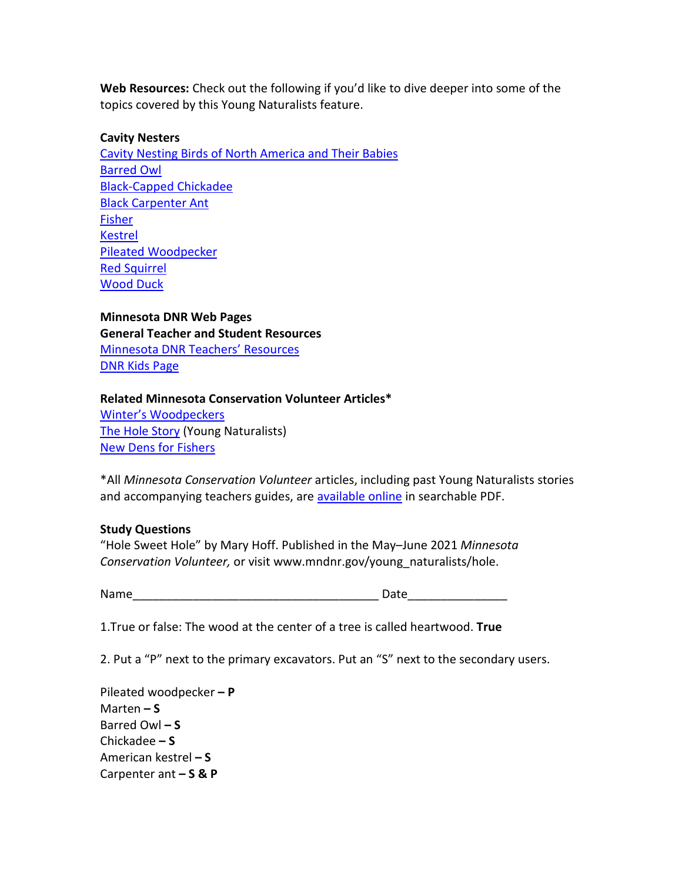**Web Resources:** Check out the following if you'd like to dive deeper into some of the topics covered by this Young Naturalists feature.

#### **Cavity Nesters**

[Cavity Nesting Birds of North America and Their Babies](https://www.10000birds.com/cavity-nesting-birds-of-north-america-and-their-babies.htm) [Barred Owl](https://mnbirdatlas.org/species/barred-owl/) [Black-Capped Chickadee](https://mnbirdatlas.org/species/black-capped-chickadee/) [Black Carpenter Ant](http://www.biokids.umich.edu/critters/Camponotus_pennsylvanicus/) [Fisher](https://www.dnr.state.mn.us/mammals/fisher.html) [Kestrel](https://mnbirdatlas.org/species/american-kestrel/) [Pileated Woodpecker](https://mnbirdatlas.org/species/pileated-woodpecker/) [Red Squirrel](https://www.dnr.state.mn.us/mammals/redsquirrel.html) [Wood Duck](https://mnbirdatlas.org/species/wood-duck/)

**Minnesota DNR Web Pages General Teacher and Student Resources** [Minnesota DNR Teachers' Resources](http://www.mndnr.gov/education/teachers/index.html) [DNR Kids Page](http://www.mndnr.gov/dnrkids/index.html)

## **Related Minnesota Conservation Volunteer Articles\***

[Winter's Woodpeckers](https://webapps15.dnr.state.mn.us/volunteer_index_api/past_issues/article_pdf?id=8492) [The Hole Story](https://webapps15.dnr.state.mn.us/volunteer_index_api/past_issues/article_pdf?id=2175) (Young Naturalists) [New Dens for Fishers](https://webapps15.dnr.state.mn.us/volunteer_index_api/past_issues/article_pdf?id=8552)

\*All *Minnesota Conservation Volunteer* articles, including past Young Naturalists stories and accompanying teachers guides, are [available online](http://www.mndnr.gov/mcvmagazine/archive.html) in searchable PDF.

#### **Study Questions**

"Hole Sweet Hole" by Mary Hoff. Published in the May–June 2021 *Minnesota Conservation Volunteer,* or visit www.mndnr.gov/young\_naturalists/hole.

Name\_\_\_\_\_\_\_\_\_\_\_\_\_\_\_\_\_\_\_\_\_\_\_\_\_\_\_\_\_\_\_\_\_\_\_\_\_ Date\_\_\_\_\_\_\_\_\_\_\_\_\_\_\_

1.True or false: The wood at the center of a tree is called heartwood. **True**

2. Put a "P" next to the primary excavators. Put an "S" next to the secondary users.

Pileated woodpecker **– P** Marten **– S** Barred Owl **– S** Chickadee **– S** American kestrel **– S** Carpenter ant **– S & P**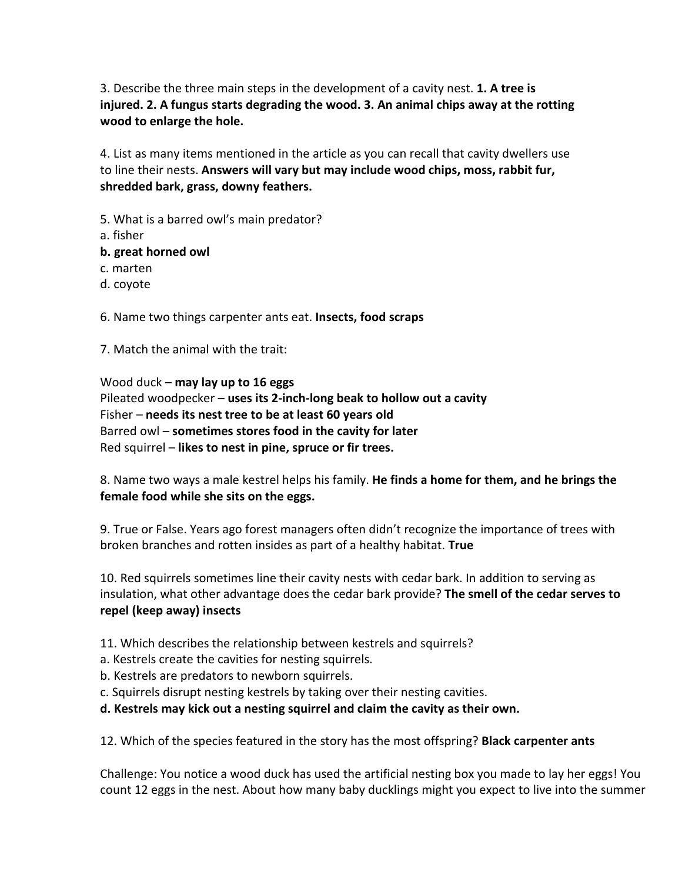3. Describe the three main steps in the development of a cavity nest. **1. A tree is injured. 2. A fungus starts degrading the wood. 3. An animal chips away at the rotting wood to enlarge the hole.**

4. List as many items mentioned in the article as you can recall that cavity dwellers use to line their nests. **Answers will vary but may include wood chips, moss, rabbit fur, shredded bark, grass, downy feathers.**

- 5. What is a barred owl's main predator?
- a. fisher
- **b. great horned owl**
- c. marten
- d. coyote

6. Name two things carpenter ants eat. **Insects, food scraps**

7. Match the animal with the trait:

Wood duck – **may lay up to 16 eggs** Pileated woodpecker – **uses its 2-inch-long beak to hollow out a cavity** Fisher – **needs its nest tree to be at least 60 years old** Barred owl – **sometimes stores food in the cavity for later** Red squirrel – **likes to nest in pine, spruce or fir trees.**

8. Name two ways a male kestrel helps his family. **He finds a home for them, and he brings the female food while she sits on the eggs.** 

9. True or False. Years ago forest managers often didn't recognize the importance of trees with broken branches and rotten insides as part of a healthy habitat. **True**

10. Red squirrels sometimes line their cavity nests with cedar bark. In addition to serving as insulation, what other advantage does the cedar bark provide? **The smell of the cedar serves to repel (keep away) insects**

11. Which describes the relationship between kestrels and squirrels?

- a. Kestrels create the cavities for nesting squirrels.
- b. Kestrels are predators to newborn squirrels.

c. Squirrels disrupt nesting kestrels by taking over their nesting cavities.

**d. Kestrels may kick out a nesting squirrel and claim the cavity as their own.**

12. Which of the species featured in the story has the most offspring? **Black carpenter ants**

Challenge: You notice a wood duck has used the artificial nesting box you made to lay her eggs! You count 12 eggs in the nest. About how many baby ducklings might you expect to live into the summer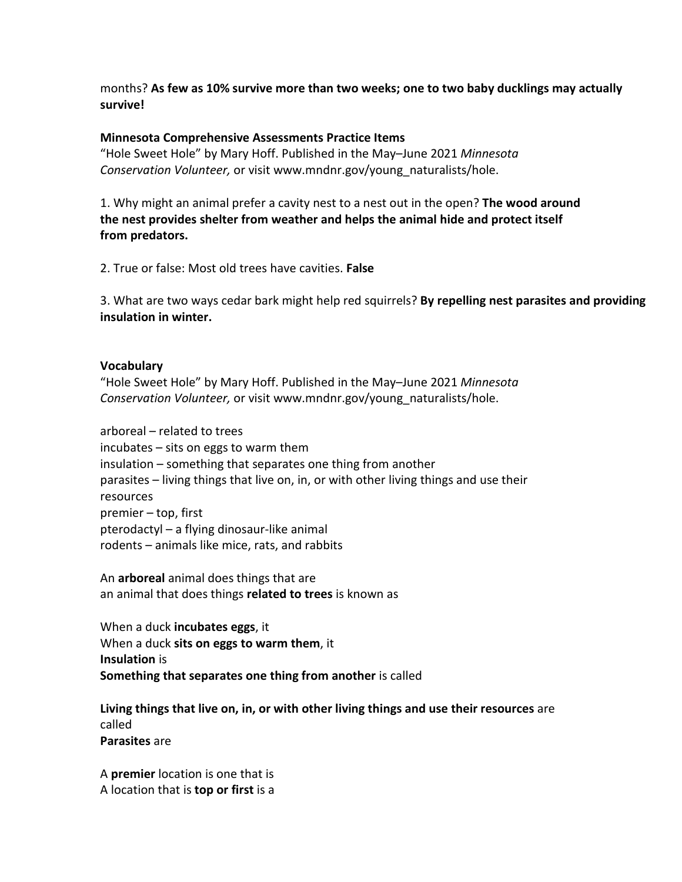months? **As few as 10% survive more than two weeks; one to two baby ducklings may actually survive!**

## **Minnesota Comprehensive Assessments Practice Items**

"Hole Sweet Hole" by Mary Hoff. Published in the May–June 2021 *Minnesota Conservation Volunteer,* or visit www.mndnr.gov/young\_naturalists/hole.

1. Why might an animal prefer a cavity nest to a nest out in the open? **The wood around the nest provides shelter from weather and helps the animal hide and protect itself from predators.**

2. True or false: Most old trees have cavities. **False**

3. What are two ways cedar bark might help red squirrels? **By repelling nest parasites and providing insulation in winter.**

## **Vocabulary**

"Hole Sweet Hole" by Mary Hoff. Published in the May–June 2021 *Minnesota Conservation Volunteer,* or visit www.mndnr.gov/young\_naturalists/hole.

arboreal – related to trees incubates – sits on eggs to warm them insulation – something that separates one thing from another parasites – living things that live on, in, or with other living things and use their resources premier – top, first pterodactyl – a flying dinosaur-like animal rodents – animals like mice, rats, and rabbits

An **arboreal** animal does things that are an animal that does things **related to trees** is known as

When a duck **incubates eggs**, it When a duck **sits on eggs to warm them**, it **Insulation** is **Something that separates one thing from another** is called

**Living things that live on, in, or with other living things and use their resources** are called **Parasites** are

A **premier** location is one that is A location that is **top or first** is a